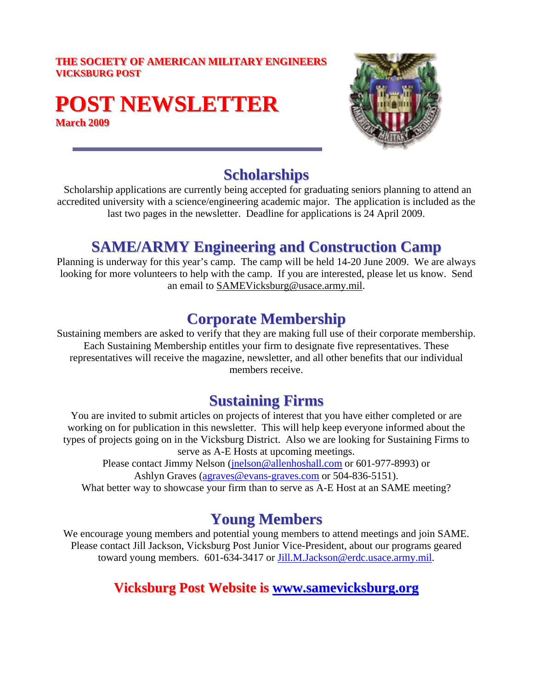#### **THE SOCIETY OF AMERICAN MILITARY ENGINEERS VICKSBURG POST**

# **POST NEWSLETTER March 2009**



#### **Scholarships**

Scholarship applications are currently being accepted for graduating seniors planning to attend an accredited university with a science/engineering academic major. The application is included as the last two pages in the newsletter. Deadline for applications is 24 April 2009.

## **SAME/ARMY Engineering and Construction Camp**

Planning is underway for this year's camp. The camp will be held 14-20 June 2009. We are always looking for more volunteers to help with the camp. If you are interested, please let us know. Send an email to [SAMEVicksburg@usace.army.mil](mailto:SAMEVicksburg@usace.army.mil).

## **Corporate Membership**

Sustaining members are asked to verify that they are making full use of their corporate membership. Each Sustaining Membership entitles your firm to designate five representatives. These representatives will receive the magazine, newsletter, and all other benefits that our individual members receive.

### **Sustaining Firms**

You are invited to submit articles on projects of interest that you have either completed or are working on for publication in this newsletter. This will help keep everyone informed about the types of projects going on in the Vicksburg District. Also we are looking for Sustaining Firms to serve as A-E Hosts at upcoming meetings.

Please contact Jimmy Nelson ([jnelson@allenhoshall.com](mailto:jnelson@allenhoshall.com) or 601-977-8993) or Ashlyn Graves ([agraves@evans-graves.com](mailto:agraves@evans-graves.com) or 504-836-5151).

#### What better way to showcase your firm than to serve as A-E Host at an SAME meeting?

### **Young Members**

We encourage young members and potential young members to attend meetings and join SAME. Please contact Jill Jackson, Vicksburg Post Junior Vice-President, about our programs geared toward young members. 601-634-3417 or [Jill.M.Jackson@erdc.usace.army.mil](mailto:Jill.M.Jackson@erdc.usace.army.mil).

#### **Vicksburg Post Website is [www.samevicksburg.org](http://www.samevicksburg.org/) ww.samevicksburg.org**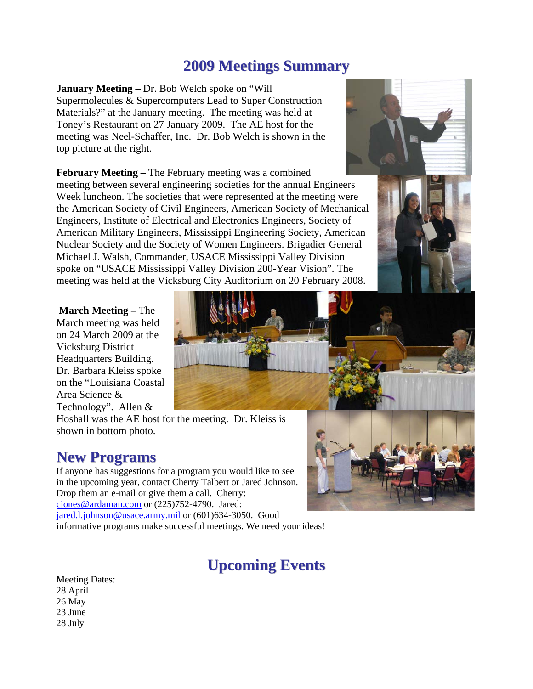## **2009 Meetings Summary**

**January Meeting –** Dr. Bob Welch spoke on "Will Supermolecules & Supercomputers Lead to Super Construction Materials?" at the January meeting. The meeting was held at Toney's Restaurant on 27 January 2009. The AE host for the meeting was Neel-Schaffer, Inc. Dr. Bob Welch is shown in the top picture at the right.

**February Meeting –** The February meeting was a combined meeting between several engineering societies for the annual Engineers Week luncheon. The societies that were represented at the meeting were the American Society of Civil Engineers, American Society of Mechanical Engineers, Institute of Electrical and Electronics Engineers, Society of American Military Engineers, Mississippi Engineering Society, American Nuclear Society and the Society of Women Engineers. Brigadier General Michael J. Walsh, Commander, USACE Mississippi Valley Division spoke on "USACE Mississippi Valley Division 200-Year Vision". The meeting was held at the Vicksburg City Auditorium on 20 February 2008.

**March Meeting –** The March meeting was held on 24 March 2009 at the Vicksburg District Headquarters Building. Dr. Barbara Kleiss spoke on the "Louisiana Coastal Area Science & Technology". Allen &



# **New Programs**

If anyone has suggestions for a program you would like to see in the upcoming year, contact Cherry Talbert or Jared Johnson. Drop them an e-mail or give them a call. Cherry: [cjones@ardaman.com](mailto:cjones@ardaman.com) or (225)752-4790. Jared: [jared.l.johnson@usace.army.mil](mailto:jared.l.johnson@usace.army.mil) or (601)634-3050. Good informative programs make successful meetings. We need your ideas!

# **Upcoming Events**

Meeting Dates: 28 April 26 May 23 June 28 July



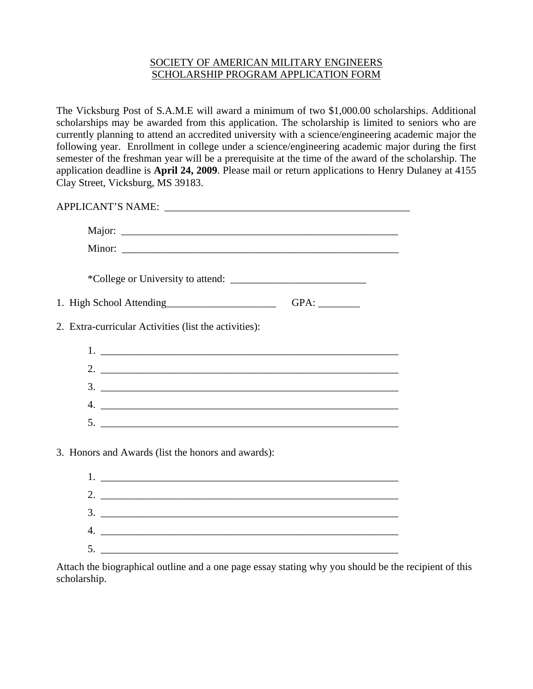#### SOCIETY OF AMERICAN MILITARY ENGINEERS SCHOLARSHIP PROGRAM APPLICATION FORM

The Vicksburg Post of S.A.M.E will award a minimum of two \$1,000.00 scholarships. Additional scholarships may be awarded from this application. The scholarship is limited to seniors who are currently planning to attend an accredited university with a science/engineering academic major the following year. Enrollment in college under a science/engineering academic major during the first semester of the freshman year will be a prerequisite at the time of the award of the scholarship. The application deadline is **April 24, 2009**. Please mail or return applications to Henry Dulaney at 4155 Clay Street, Vicksburg, MS 39183.

| 1. High School Attending<br><u>Letter and the set of the set of the set of the set of the set of the set of the set of the set of the set of the set of the set of the set of the set of the set of the set of the set of the set </u> |  |
|----------------------------------------------------------------------------------------------------------------------------------------------------------------------------------------------------------------------------------------|--|
| 2. Extra-curricular Activities (list the activities):                                                                                                                                                                                  |  |
|                                                                                                                                                                                                                                        |  |
|                                                                                                                                                                                                                                        |  |
|                                                                                                                                                                                                                                        |  |
|                                                                                                                                                                                                                                        |  |

| <u> 2001 - Jan Barbarat (j. 1920)</u>                                                                                                                                                                                                                                                                                  |
|------------------------------------------------------------------------------------------------------------------------------------------------------------------------------------------------------------------------------------------------------------------------------------------------------------------------|
| 2. $\frac{1}{2}$ $\frac{1}{2}$ $\frac{1}{2}$ $\frac{1}{2}$ $\frac{1}{2}$ $\frac{1}{2}$ $\frac{1}{2}$ $\frac{1}{2}$ $\frac{1}{2}$ $\frac{1}{2}$ $\frac{1}{2}$ $\frac{1}{2}$ $\frac{1}{2}$ $\frac{1}{2}$ $\frac{1}{2}$ $\frac{1}{2}$ $\frac{1}{2}$ $\frac{1}{2}$ $\frac{1}{2}$ $\frac{1}{2}$ $\frac{1}{2}$ $\frac{1}{2}$ |
| 3. <u>____________________________</u>                                                                                                                                                                                                                                                                                 |
| <u> 1989 - Johann Stein, mars an de France</u>                                                                                                                                                                                                                                                                         |
|                                                                                                                                                                                                                                                                                                                        |

Attach the biographical outline and a one page essay stating why you should be the recipient of this scholarship.